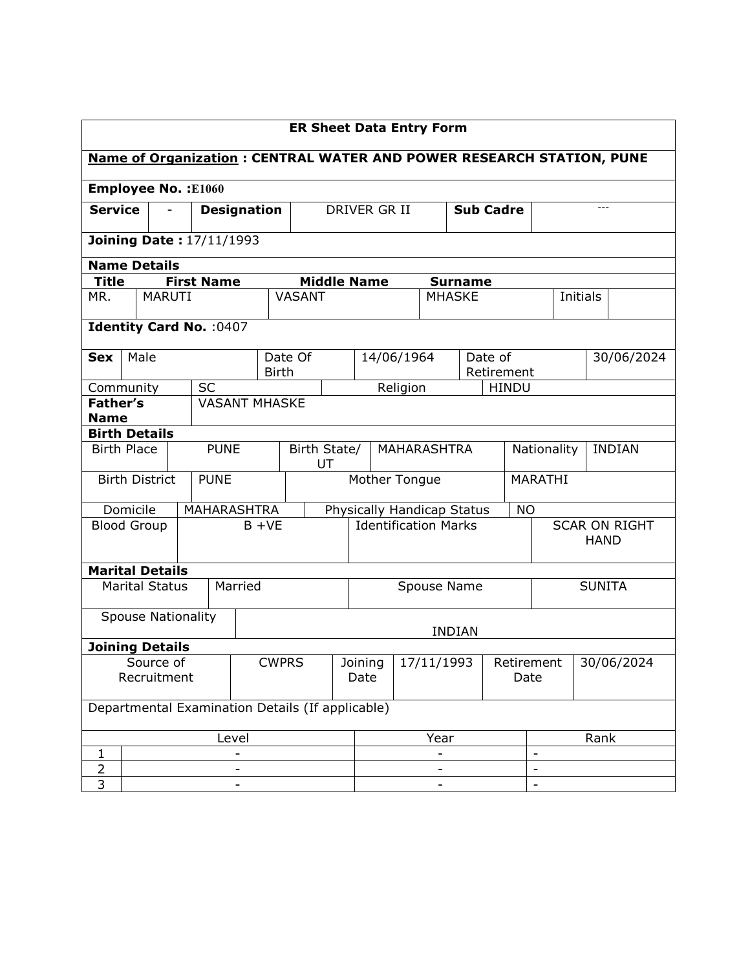| <b>ER Sheet Data Entry Form</b>                                             |                                      |               |                                                  |              |              |                    |                          |                                         |          |               |                  |                                     |                          |               |  |            |
|-----------------------------------------------------------------------------|--------------------------------------|---------------|--------------------------------------------------|--------------|--------------|--------------------|--------------------------|-----------------------------------------|----------|---------------|------------------|-------------------------------------|--------------------------|---------------|--|------------|
| <b>Name of Organization: CENTRAL WATER AND POWER RESEARCH STATION, PUNE</b> |                                      |               |                                                  |              |              |                    |                          |                                         |          |               |                  |                                     |                          |               |  |            |
| <b>Employee No.: E1060</b>                                                  |                                      |               |                                                  |              |              |                    |                          |                                         |          |               |                  |                                     |                          |               |  |            |
|                                                                             | <b>Service</b><br><b>Designation</b> |               |                                                  |              |              |                    | DRIVER GR II             |                                         |          |               | <b>Sub Cadre</b> |                                     |                          | $---$         |  |            |
| <b>Joining Date: 17/11/1993</b>                                             |                                      |               |                                                  |              |              |                    |                          |                                         |          |               |                  |                                     |                          |               |  |            |
|                                                                             | <b>Name Details</b>                  |               |                                                  |              |              |                    |                          |                                         |          |               |                  |                                     |                          |               |  |            |
| <b>Title</b>                                                                |                                      |               | <b>First Name</b>                                |              |              |                    |                          | <b>Middle Name</b>                      |          |               | <b>Surname</b>   |                                     |                          |               |  |            |
| MR.                                                                         |                                      | <b>MARUTI</b> |                                                  |              |              | <b>VASANT</b>      |                          |                                         |          | <b>MHASKE</b> |                  |                                     |                          | Initials      |  |            |
|                                                                             |                                      |               | Identity Card No. : 0407                         |              |              |                    |                          |                                         |          |               |                  |                                     |                          |               |  |            |
| <b>Sex</b>                                                                  | Male                                 |               |                                                  |              | <b>Birth</b> | Date Of            |                          | 14/06/1964                              |          |               |                  | Date of<br>Retirement               |                          |               |  | 30/06/2024 |
|                                                                             | Community                            |               | <b>SC</b>                                        |              |              |                    |                          |                                         | Religion |               |                  | <b>HINDU</b>                        |                          |               |  |            |
| <b>Father's</b>                                                             |                                      |               | <b>VASANT MHASKE</b>                             |              |              |                    |                          |                                         |          |               |                  |                                     |                          |               |  |            |
| <b>Name</b>                                                                 |                                      |               |                                                  |              |              |                    |                          |                                         |          |               |                  |                                     |                          |               |  |            |
|                                                                             | <b>Birth Details</b>                 |               |                                                  |              |              |                    |                          |                                         |          |               |                  |                                     |                          |               |  |            |
|                                                                             | <b>PUNE</b><br><b>Birth Place</b>    |               |                                                  |              |              | Birth State/<br>UT | <b>MAHARASHTRA</b>       |                                         |          |               | Nationality      |                                     |                          | <b>INDIAN</b> |  |            |
|                                                                             | <b>Birth District</b>                |               | <b>PUNE</b>                                      |              |              |                    |                          | Mother Tongue                           |          |               |                  |                                     | MARATHI                  |               |  |            |
|                                                                             | Domicile                             |               | <b>MAHARASHTRA</b>                               |              |              |                    |                          | Physically Handicap Status<br><b>NO</b> |          |               |                  |                                     |                          |               |  |            |
|                                                                             | <b>Blood Group</b>                   |               |                                                  |              | $B + VE$     |                    |                          | <b>Identification Marks</b>             |          |               |                  | <b>SCAR ON RIGHT</b><br><b>HAND</b> |                          |               |  |            |
|                                                                             | <b>Marital Details</b>               |               |                                                  |              |              |                    |                          |                                         |          |               |                  |                                     |                          |               |  |            |
|                                                                             | <b>Marital Status</b>                |               |                                                  | Married      |              |                    |                          | Spouse Name<br><b>SUNITA</b>            |          |               |                  |                                     |                          |               |  |            |
|                                                                             | <b>Spouse Nationality</b>            |               |                                                  |              |              |                    |                          |                                         |          |               | <b>INDIAN</b>    |                                     |                          |               |  |            |
|                                                                             | <b>Joining Details</b>               |               |                                                  |              |              |                    |                          |                                         |          |               |                  |                                     |                          |               |  |            |
|                                                                             | Source of                            |               |                                                  | <b>CWPRS</b> |              |                    | 17/11/1993<br>Joining    |                                         |          |               |                  | 30/06/2024<br>Retirement            |                          |               |  |            |
| Recruitment                                                                 |                                      |               |                                                  |              |              |                    | Date                     |                                         |          |               |                  | Date                                |                          |               |  |            |
|                                                                             |                                      |               | Departmental Examination Details (If applicable) |              |              |                    |                          |                                         |          |               |                  |                                     |                          |               |  |            |
| Level                                                                       |                                      |               |                                                  |              |              | Year               |                          |                                         |          |               | Rank             |                                     |                          |               |  |            |
| 1                                                                           |                                      |               |                                                  |              |              |                    |                          |                                         |          |               |                  | $\qquad \qquad \blacksquare$        |                          |               |  |            |
| $\overline{2}$                                                              |                                      |               |                                                  |              |              |                    |                          |                                         |          |               |                  |                                     | $\overline{\phantom{a}}$ |               |  |            |
| 3                                                                           |                                      |               |                                                  |              |              |                    | $\overline{\phantom{m}}$ |                                         |          |               |                  |                                     |                          |               |  |            |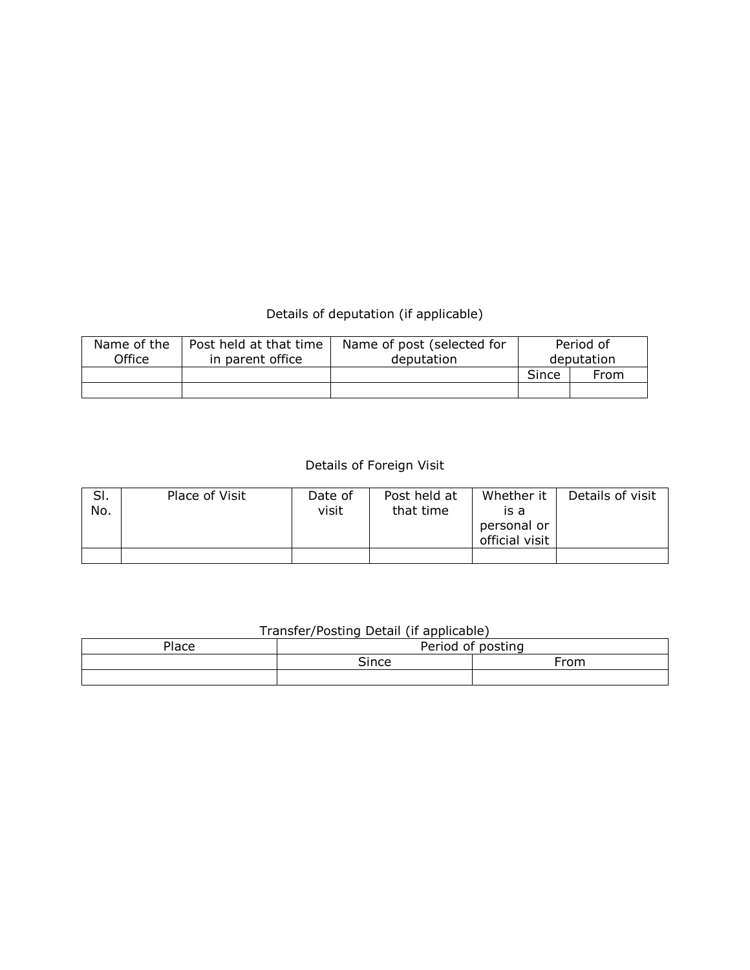## Details of deputation (if applicable)

| Name of the | Post held at that time | Name of post (selected for |            | Period of |  |  |
|-------------|------------------------|----------------------------|------------|-----------|--|--|
| Office      | in parent office       | deputation                 | deputation |           |  |  |
|             |                        |                            | Since      | From      |  |  |
|             |                        |                            |            |           |  |  |

## Details of Foreign Visit

| SI.<br>No. | Place of Visit | Date of<br>visit | Post held at<br>that time | Whether it<br>is a<br>personal or<br>official visit | Details of visit |
|------------|----------------|------------------|---------------------------|-----------------------------------------------------|------------------|
|            |                |                  |                           |                                                     |                  |

## Transfer/Posting Detail (if applicable)

| <b>Place</b> | Period<br>∩f | noct<br>$\sim$ |
|--------------|--------------|----------------|
|              | $\sim$ ingo  | From           |
|              |              |                |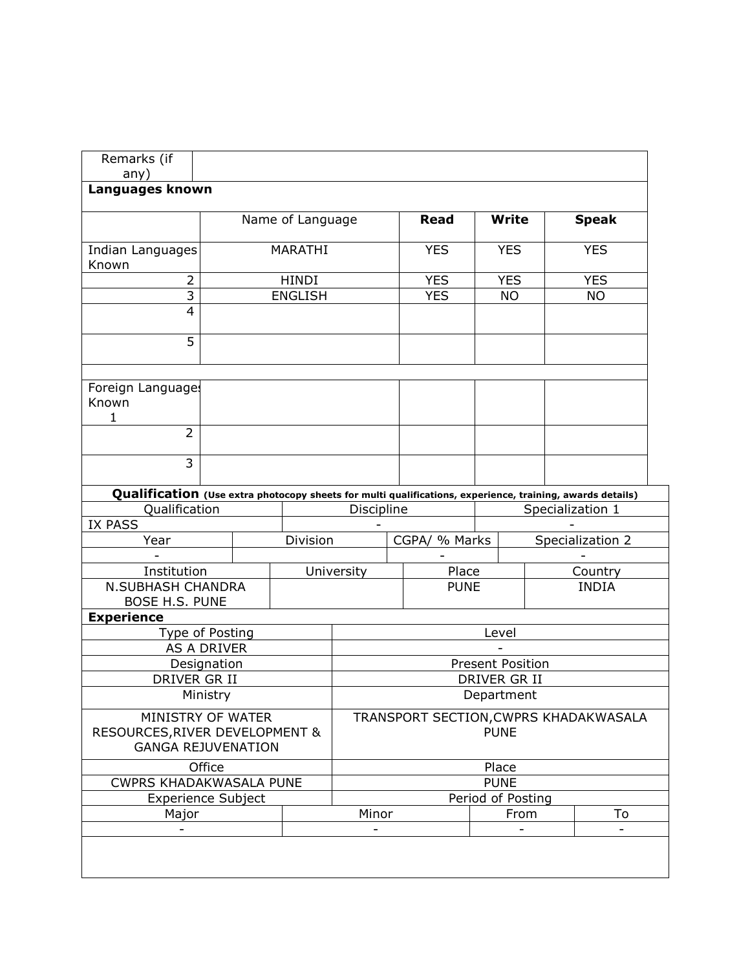| Remarks (if<br>any)                                                                                                        |              |                  |                                       |               |                         |                  |  |  |  |
|----------------------------------------------------------------------------------------------------------------------------|--------------|------------------|---------------------------------------|---------------|-------------------------|------------------|--|--|--|
| Languages known                                                                                                            |              |                  |                                       |               |                         |                  |  |  |  |
|                                                                                                                            |              | Name of Language |                                       | Read          | <b>Write</b>            | <b>Speak</b>     |  |  |  |
| Indian Languages                                                                                                           |              | MARATHI          |                                       | <b>YES</b>    | <b>YES</b>              | <b>YES</b>       |  |  |  |
| Known<br>$\overline{2}$                                                                                                    | <b>HINDI</b> |                  | <b>YES</b>                            | <b>YES</b>    | <b>YES</b>              |                  |  |  |  |
| $\overline{3}$                                                                                                             |              | <b>ENGLISH</b>   |                                       | <b>YES</b>    | <b>NO</b>               | <b>NO</b>        |  |  |  |
| 4                                                                                                                          |              |                  |                                       |               |                         |                  |  |  |  |
| $\overline{5}$                                                                                                             |              |                  |                                       |               |                         |                  |  |  |  |
| Foreign Language:                                                                                                          |              |                  |                                       |               |                         |                  |  |  |  |
| Known                                                                                                                      |              |                  |                                       |               |                         |                  |  |  |  |
| 1<br>$\overline{2}$                                                                                                        |              |                  |                                       |               |                         |                  |  |  |  |
| 3                                                                                                                          |              |                  |                                       |               |                         |                  |  |  |  |
|                                                                                                                            |              |                  |                                       |               |                         |                  |  |  |  |
| Qualification (Use extra photocopy sheets for multi qualifications, experience, training, awards details)<br>Qualification |              |                  | Discipline                            |               |                         | Specialization 1 |  |  |  |
| <b>IX PASS</b>                                                                                                             |              |                  |                                       |               |                         |                  |  |  |  |
| Year                                                                                                                       |              | Division         |                                       | CGPA/ % Marks |                         | Specialization 2 |  |  |  |
|                                                                                                                            |              |                  |                                       |               |                         |                  |  |  |  |
| Institution                                                                                                                |              |                  | University                            | Place         |                         | Country          |  |  |  |
| <b>N.SUBHASH CHANDRA</b>                                                                                                   |              |                  |                                       | <b>PUNE</b>   |                         | <b>INDIA</b>     |  |  |  |
| <b>BOSE H.S. PUNE</b>                                                                                                      |              |                  |                                       |               |                         |                  |  |  |  |
| <b>Experience</b>                                                                                                          |              |                  |                                       |               |                         |                  |  |  |  |
| Type of Posting<br><b>AS A DRIVER</b>                                                                                      |              |                  |                                       |               | Level                   |                  |  |  |  |
| Designation                                                                                                                |              |                  |                                       |               | <b>Present Position</b> |                  |  |  |  |
| DRIVER GR II                                                                                                               |              |                  | DRIVER GR II                          |               |                         |                  |  |  |  |
| Ministry                                                                                                                   |              |                  | Department                            |               |                         |                  |  |  |  |
| MINISTRY OF WATER                                                                                                          |              |                  | TRANSPORT SECTION, CWPRS KHADAKWASALA |               |                         |                  |  |  |  |
| RESOURCES, RIVER DEVELOPMENT &<br><b>GANGA REJUVENATION</b>                                                                |              |                  |                                       |               | <b>PUNE</b>             |                  |  |  |  |
| Office                                                                                                                     |              |                  |                                       |               | Place                   |                  |  |  |  |
| <b>CWPRS KHADAKWASALA PUNE</b>                                                                                             |              |                  |                                       |               | <b>PUNE</b>             |                  |  |  |  |
| <b>Experience Subject</b>                                                                                                  |              |                  |                                       |               | Period of Posting       |                  |  |  |  |
| Major                                                                                                                      |              |                  | Minor                                 |               | From                    | To               |  |  |  |
|                                                                                                                            |              |                  |                                       |               |                         |                  |  |  |  |